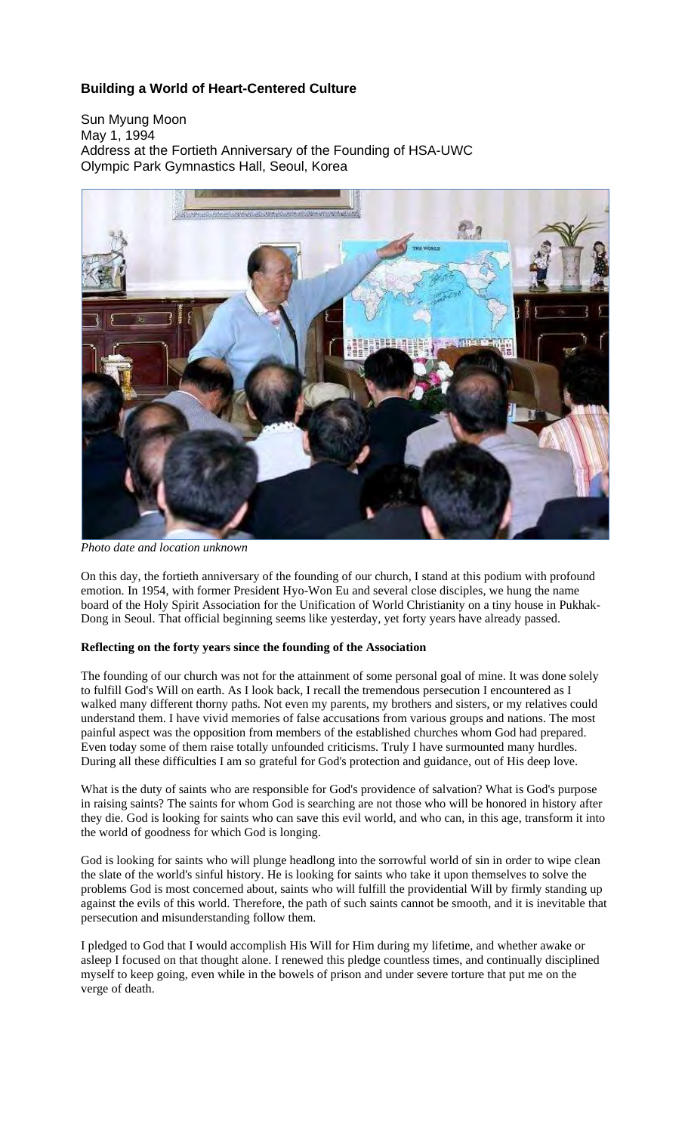# **Building a World of Heart-Centered Culture**

Sun Myung Moon May 1, 1994 Address at the Fortieth Anniversary of the Founding of HSA-UWC Olympic Park Gymnastics Hall, Seoul, Korea



*Photo date and location unknown*

On this day, the fortieth anniversary of the founding of our church, I stand at this podium with profound emotion. In 1954, with former President Hyo-Won Eu and several close disciples, we hung the name board of the Holy Spirit Association for the Unification of World Christianity on a tiny house in Pukhak-Dong in Seoul. That official beginning seems like yesterday, yet forty years have already passed.

## **Reflecting on the forty years since the founding of the Association**

The founding of our church was not for the attainment of some personal goal of mine. It was done solely to fulfill God's Will on earth. As I look back, I recall the tremendous persecution I encountered as I walked many different thorny paths. Not even my parents, my brothers and sisters, or my relatives could understand them. I have vivid memories of false accusations from various groups and nations. The most painful aspect was the opposition from members of the established churches whom God had prepared. Even today some of them raise totally unfounded criticisms. Truly I have surmounted many hurdles. During all these difficulties I am so grateful for God's protection and guidance, out of His deep love.

What is the duty of saints who are responsible for God's providence of salvation? What is God's purpose in raising saints? The saints for whom God is searching are not those who will be honored in history after they die. God is looking for saints who can save this evil world, and who can, in this age, transform it into the world of goodness for which God is longing.

God is looking for saints who will plunge headlong into the sorrowful world of sin in order to wipe clean the slate of the world's sinful history. He is looking for saints who take it upon themselves to solve the problems God is most concerned about, saints who will fulfill the providential Will by firmly standing up against the evils of this world. Therefore, the path of such saints cannot be smooth, and it is inevitable that persecution and misunderstanding follow them.

I pledged to God that I would accomplish His Will for Him during my lifetime, and whether awake or asleep I focused on that thought alone. I renewed this pledge countless times, and continually disciplined myself to keep going, even while in the bowels of prison and under severe torture that put me on the verge of death.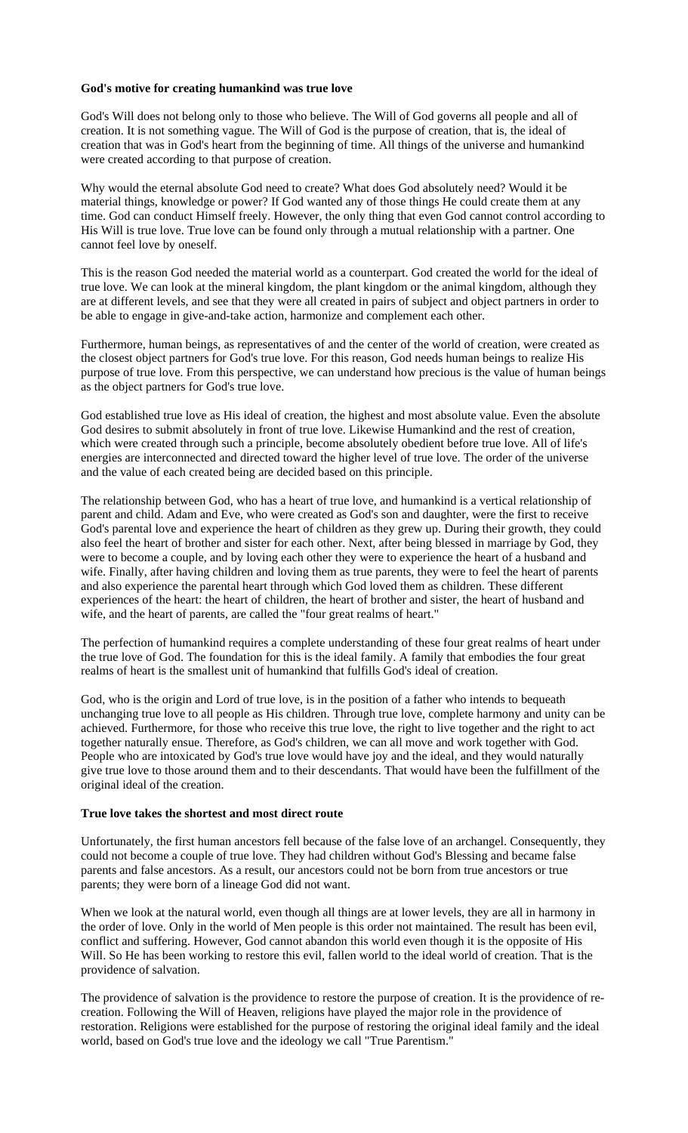#### **God's motive for creating humankind was true love**

God's Will does not belong only to those who believe. The Will of God governs all people and all of creation. It is not something vague. The Will of God is the purpose of creation, that is, the ideal of creation that was in God's heart from the beginning of time. All things of the universe and humankind were created according to that purpose of creation.

Why would the eternal absolute God need to create? What does God absolutely need? Would it be material things, knowledge or power? If God wanted any of those things He could create them at any time. God can conduct Himself freely. However, the only thing that even God cannot control according to His Will is true love. True love can be found only through a mutual relationship with a partner. One cannot feel love by oneself.

This is the reason God needed the material world as a counterpart. God created the world for the ideal of true love. We can look at the mineral kingdom, the plant kingdom or the animal kingdom, although they are at different levels, and see that they were all created in pairs of subject and object partners in order to be able to engage in give-and-take action, harmonize and complement each other.

Furthermore, human beings, as representatives of and the center of the world of creation, were created as the closest object partners for God's true love. For this reason, God needs human beings to realize His purpose of true love. From this perspective, we can understand how precious is the value of human beings as the object partners for God's true love.

God established true love as His ideal of creation, the highest and most absolute value. Even the absolute God desires to submit absolutely in front of true love. Likewise Humankind and the rest of creation, which were created through such a principle, become absolutely obedient before true love. All of life's energies are interconnected and directed toward the higher level of true love. The order of the universe and the value of each created being are decided based on this principle.

The relationship between God, who has a heart of true love, and humankind is a vertical relationship of parent and child. Adam and Eve, who were created as God's son and daughter, were the first to receive God's parental love and experience the heart of children as they grew up. During their growth, they could also feel the heart of brother and sister for each other. Next, after being blessed in marriage by God, they were to become a couple, and by loving each other they were to experience the heart of a husband and wife. Finally, after having children and loving them as true parents, they were to feel the heart of parents and also experience the parental heart through which God loved them as children. These different experiences of the heart: the heart of children, the heart of brother and sister, the heart of husband and wife, and the heart of parents, are called the "four great realms of heart."

The perfection of humankind requires a complete understanding of these four great realms of heart under the true love of God. The foundation for this is the ideal family. A family that embodies the four great realms of heart is the smallest unit of humankind that fulfills God's ideal of creation.

God, who is the origin and Lord of true love, is in the position of a father who intends to bequeath unchanging true love to all people as His children. Through true love, complete harmony and unity can be achieved. Furthermore, for those who receive this true love, the right to live together and the right to act together naturally ensue. Therefore, as God's children, we can all move and work together with God. People who are intoxicated by God's true love would have joy and the ideal, and they would naturally give true love to those around them and to their descendants. That would have been the fulfillment of the original ideal of the creation.

#### **True love takes the shortest and most direct route**

Unfortunately, the first human ancestors fell because of the false love of an archangel. Consequently, they could not become a couple of true love. They had children without God's Blessing and became false parents and false ancestors. As a result, our ancestors could not be born from true ancestors or true parents; they were born of a lineage God did not want.

When we look at the natural world, even though all things are at lower levels, they are all in harmony in the order of love. Only in the world of Men people is this order not maintained. The result has been evil, conflict and suffering. However, God cannot abandon this world even though it is the opposite of His Will. So He has been working to restore this evil, fallen world to the ideal world of creation. That is the providence of salvation.

The providence of salvation is the providence to restore the purpose of creation. It is the providence of recreation. Following the Will of Heaven, religions have played the major role in the providence of restoration. Religions were established for the purpose of restoring the original ideal family and the ideal world, based on God's true love and the ideology we call "True Parentism."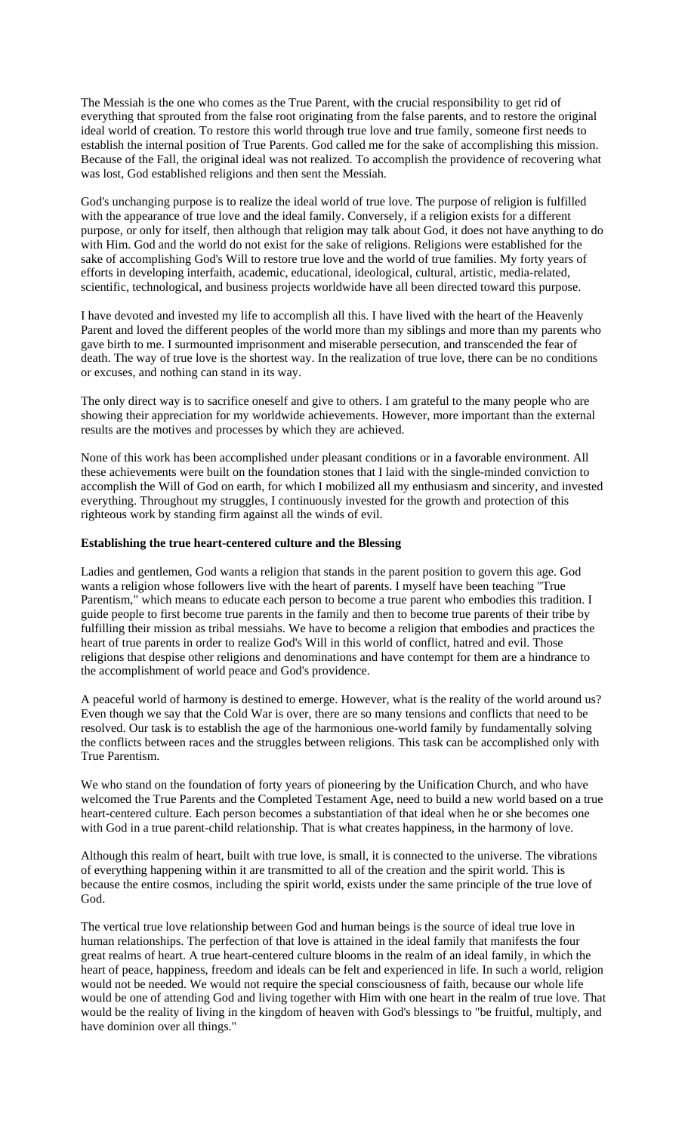The Messiah is the one who comes as the True Parent, with the crucial responsibility to get rid of everything that sprouted from the false root originating from the false parents, and to restore the original ideal world of creation. To restore this world through true love and true family, someone first needs to establish the internal position of True Parents. God called me for the sake of accomplishing this mission. Because of the Fall, the original ideal was not realized. To accomplish the providence of recovering what was lost, God established religions and then sent the Messiah.

God's unchanging purpose is to realize the ideal world of true love. The purpose of religion is fulfilled with the appearance of true love and the ideal family. Conversely, if a religion exists for a different purpose, or only for itself, then although that religion may talk about God, it does not have anything to do with Him. God and the world do not exist for the sake of religions. Religions were established for the sake of accomplishing God's Will to restore true love and the world of true families. My forty years of efforts in developing interfaith, academic, educational, ideological, cultural, artistic, media-related, scientific, technological, and business projects worldwide have all been directed toward this purpose.

I have devoted and invested my life to accomplish all this. I have lived with the heart of the Heavenly Parent and loved the different peoples of the world more than my siblings and more than my parents who gave birth to me. I surmounted imprisonment and miserable persecution, and transcended the fear of death. The way of true love is the shortest way. In the realization of true love, there can be no conditions or excuses, and nothing can stand in its way.

The only direct way is to sacrifice oneself and give to others. I am grateful to the many people who are showing their appreciation for my worldwide achievements. However, more important than the external results are the motives and processes by which they are achieved.

None of this work has been accomplished under pleasant conditions or in a favorable environment. All these achievements were built on the foundation stones that I laid with the single-minded conviction to accomplish the Will of God on earth, for which I mobilized all my enthusiasm and sincerity, and invested everything. Throughout my struggles, I continuously invested for the growth and protection of this righteous work by standing firm against all the winds of evil.

#### **Establishing the true heart-centered culture and the Blessing**

Ladies and gentlemen, God wants a religion that stands in the parent position to govern this age. God wants a religion whose followers live with the heart of parents. I myself have been teaching "True Parentism," which means to educate each person to become a true parent who embodies this tradition. I guide people to first become true parents in the family and then to become true parents of their tribe by fulfilling their mission as tribal messiahs. We have to become a religion that embodies and practices the heart of true parents in order to realize God's Will in this world of conflict, hatred and evil. Those religions that despise other religions and denominations and have contempt for them are a hindrance to the accomplishment of world peace and God's providence.

A peaceful world of harmony is destined to emerge. However, what is the reality of the world around us? Even though we say that the Cold War is over, there are so many tensions and conflicts that need to be resolved. Our task is to establish the age of the harmonious one-world family by fundamentally solving the conflicts between races and the struggles between religions. This task can be accomplished only with True Parentism.

We who stand on the foundation of forty years of pioneering by the Unification Church, and who have welcomed the True Parents and the Completed Testament Age, need to build a new world based on a true heart-centered culture. Each person becomes a substantiation of that ideal when he or she becomes one with God in a true parent-child relationship. That is what creates happiness, in the harmony of love.

Although this realm of heart, built with true love, is small, it is connected to the universe. The vibrations of everything happening within it are transmitted to all of the creation and the spirit world. This is because the entire cosmos, including the spirit world, exists under the same principle of the true love of God.

The vertical true love relationship between God and human beings is the source of ideal true love in human relationships. The perfection of that love is attained in the ideal family that manifests the four great realms of heart. A true heart-centered culture blooms in the realm of an ideal family, in which the heart of peace, happiness, freedom and ideals can be felt and experienced in life. In such a world, religion would not be needed. We would not require the special consciousness of faith, because our whole life would be one of attending God and living together with Him with one heart in the realm of true love. That would be the reality of living in the kingdom of heaven with God's blessings to "be fruitful, multiply, and have dominion over all things."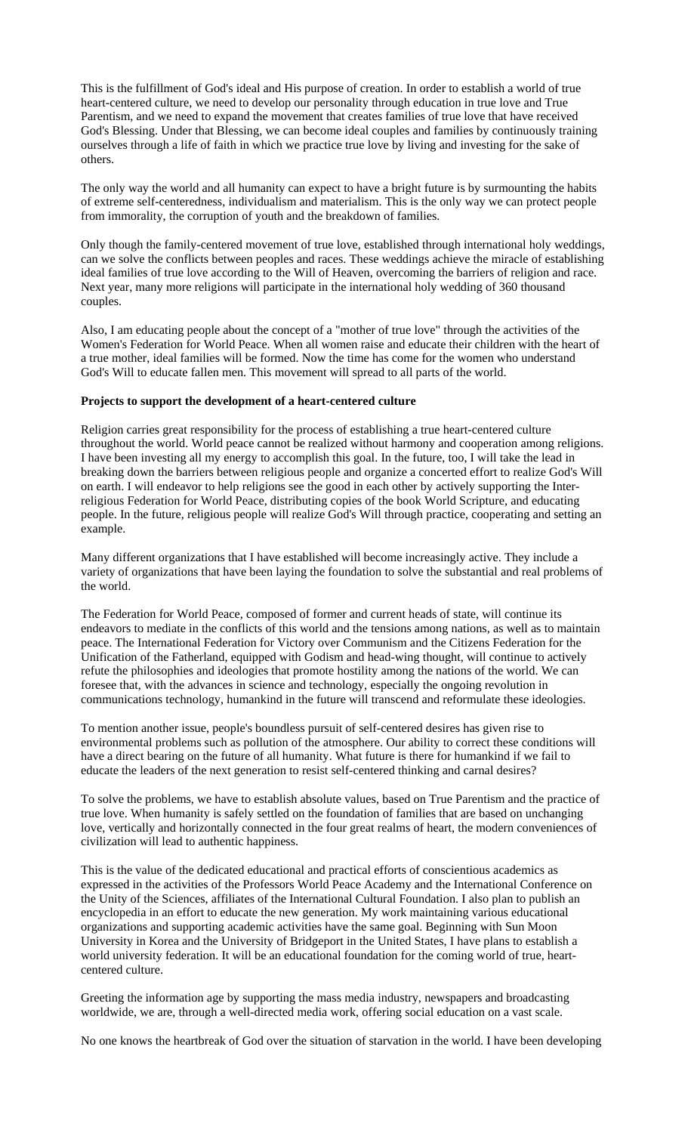This is the fulfillment of God's ideal and His purpose of creation. In order to establish a world of true heart-centered culture, we need to develop our personality through education in true love and True Parentism, and we need to expand the movement that creates families of true love that have received God's Blessing. Under that Blessing, we can become ideal couples and families by continuously training ourselves through a life of faith in which we practice true love by living and investing for the sake of others.

The only way the world and all humanity can expect to have a bright future is by surmounting the habits of extreme self-centeredness, individualism and materialism. This is the only way we can protect people from immorality, the corruption of youth and the breakdown of families.

Only though the family-centered movement of true love, established through international holy weddings, can we solve the conflicts between peoples and races. These weddings achieve the miracle of establishing ideal families of true love according to the Will of Heaven, overcoming the barriers of religion and race. Next year, many more religions will participate in the international holy wedding of 360 thousand couples.

Also, I am educating people about the concept of a "mother of true love" through the activities of the Women's Federation for World Peace. When all women raise and educate their children with the heart of a true mother, ideal families will be formed. Now the time has come for the women who understand God's Will to educate fallen men. This movement will spread to all parts of the world.

#### **Projects to support the development of a heart-centered culture**

Religion carries great responsibility for the process of establishing a true heart-centered culture throughout the world. World peace cannot be realized without harmony and cooperation among religions. I have been investing all my energy to accomplish this goal. In the future, too, I will take the lead in breaking down the barriers between religious people and organize a concerted effort to realize God's Will on earth. I will endeavor to help religions see the good in each other by actively supporting the Interreligious Federation for World Peace, distributing copies of the book World Scripture, and educating people. In the future, religious people will realize God's Will through practice, cooperating and setting an example.

Many different organizations that I have established will become increasingly active. They include a variety of organizations that have been laying the foundation to solve the substantial and real problems of the world.

The Federation for World Peace, composed of former and current heads of state, will continue its endeavors to mediate in the conflicts of this world and the tensions among nations, as well as to maintain peace. The International Federation for Victory over Communism and the Citizens Federation for the Unification of the Fatherland, equipped with Godism and head-wing thought, will continue to actively refute the philosophies and ideologies that promote hostility among the nations of the world. We can foresee that, with the advances in science and technology, especially the ongoing revolution in communications technology, humankind in the future will transcend and reformulate these ideologies.

To mention another issue, people's boundless pursuit of self-centered desires has given rise to environmental problems such as pollution of the atmosphere. Our ability to correct these conditions will have a direct bearing on the future of all humanity. What future is there for humankind if we fail to educate the leaders of the next generation to resist self-centered thinking and carnal desires?

To solve the problems, we have to establish absolute values, based on True Parentism and the practice of true love. When humanity is safely settled on the foundation of families that are based on unchanging love, vertically and horizontally connected in the four great realms of heart, the modern conveniences of civilization will lead to authentic happiness.

This is the value of the dedicated educational and practical efforts of conscientious academics as expressed in the activities of the Professors World Peace Academy and the International Conference on the Unity of the Sciences, affiliates of the International Cultural Foundation. I also plan to publish an encyclopedia in an effort to educate the new generation. My work maintaining various educational organizations and supporting academic activities have the same goal. Beginning with Sun Moon University in Korea and the University of Bridgeport in the United States, I have plans to establish a world university federation. It will be an educational foundation for the coming world of true, heartcentered culture.

Greeting the information age by supporting the mass media industry, newspapers and broadcasting worldwide, we are, through a well-directed media work, offering social education on a vast scale.

No one knows the heartbreak of God over the situation of starvation in the world. I have been developing